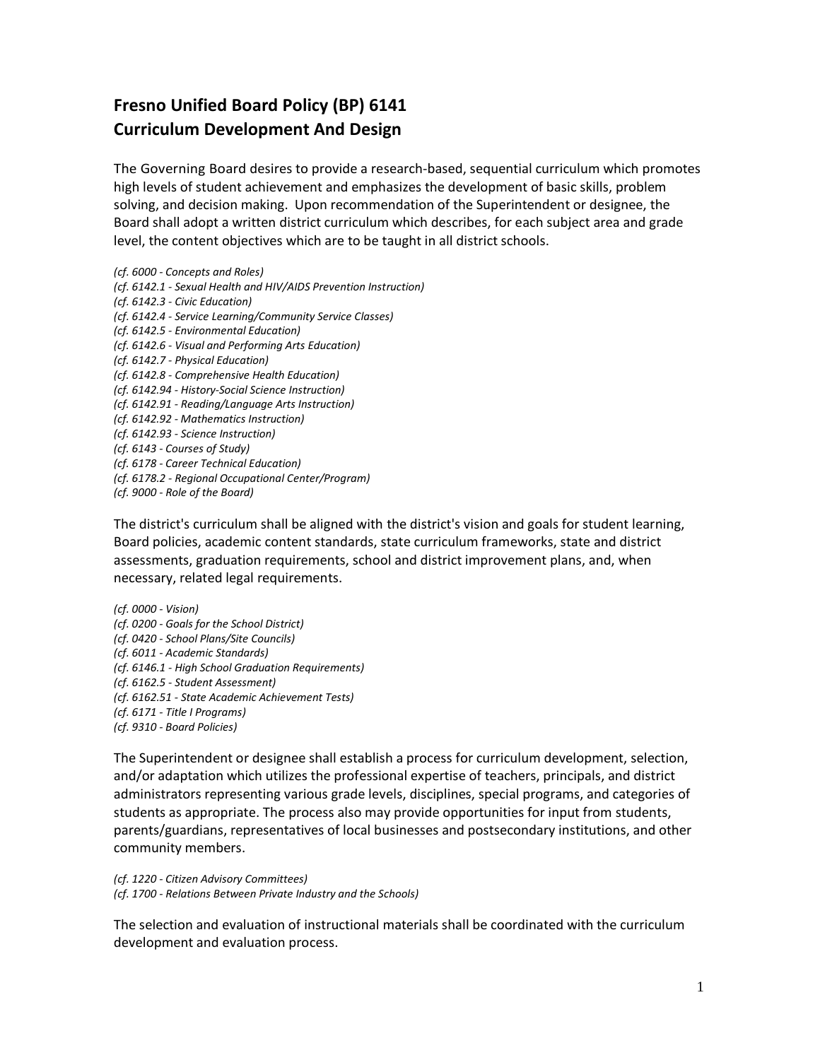## **Fresno Unified Board Policy (BP) 6141 Curriculum Development And Design**

The Governing Board desires to provide a research-based, sequential curriculum which promotes high levels of student achievement and emphasizes the development of basic skills, problem solving, and decision making. Upon recommendation of the Superintendent or designee, the Board shall adopt a written district curriculum which describes, for each subject area and grade level, the content objectives which are to be taught in all district schools.

*(cf. 6000 - Concepts and Roles) (cf. 6142.1 - Sexual Health and HIV/AIDS Prevention Instruction) (cf. 6142.3 - Civic Education) (cf. 6142.4 - Service Learning/Community Service Classes) (cf. 6142.5 - Environmental Education) (cf. 6142.6 - Visual and Performing Arts Education) (cf. 6142.7 - Physical Education) (cf. 6142.8 - Comprehensive Health Education) (cf. 6142.94 - History-Social Science Instruction) (cf. 6142.91 - Reading/Language Arts Instruction) (cf. 6142.92 - Mathematics Instruction) (cf. 6142.93 - Science Instruction) (cf. 6143 - Courses of Study) (cf. 6178 - Career Technical Education) (cf. 6178.2 - Regional Occupational Center/Program) (cf. 9000 - Role of the Board)*

The district's curriculum shall be aligned with the district's vision and goals for student learning, Board policies, academic content standards, state curriculum frameworks, state and district assessments, graduation requirements, school and district improvement plans, and, when necessary, related legal requirements.

*(cf. 0000 - Vision) (cf. 0200 - Goals for the School District) (cf. 0420 - School Plans/Site Councils) (cf. 6011 - Academic Standards) (cf. 6146.1 - High School Graduation Requirements) (cf. 6162.5 - Student Assessment) (cf. 6162.51 - State Academic Achievement Tests) (cf. 6171 - Title I Programs) (cf. 9310 - Board Policies)*

The Superintendent or designee shall establish a process for curriculum development, selection, and/or adaptation which utilizes the professional expertise of teachers, principals, and district administrators representing various grade levels, disciplines, special programs, and categories of students as appropriate. The process also may provide opportunities for input from students, parents/guardians, representatives of local businesses and postsecondary institutions, and other community members.

*(cf. 1220 - Citizen Advisory Committees) (cf. 1700 - Relations Between Private Industry and the Schools)*

The selection and evaluation of instructional materials shall be coordinated with the curriculum development and evaluation process.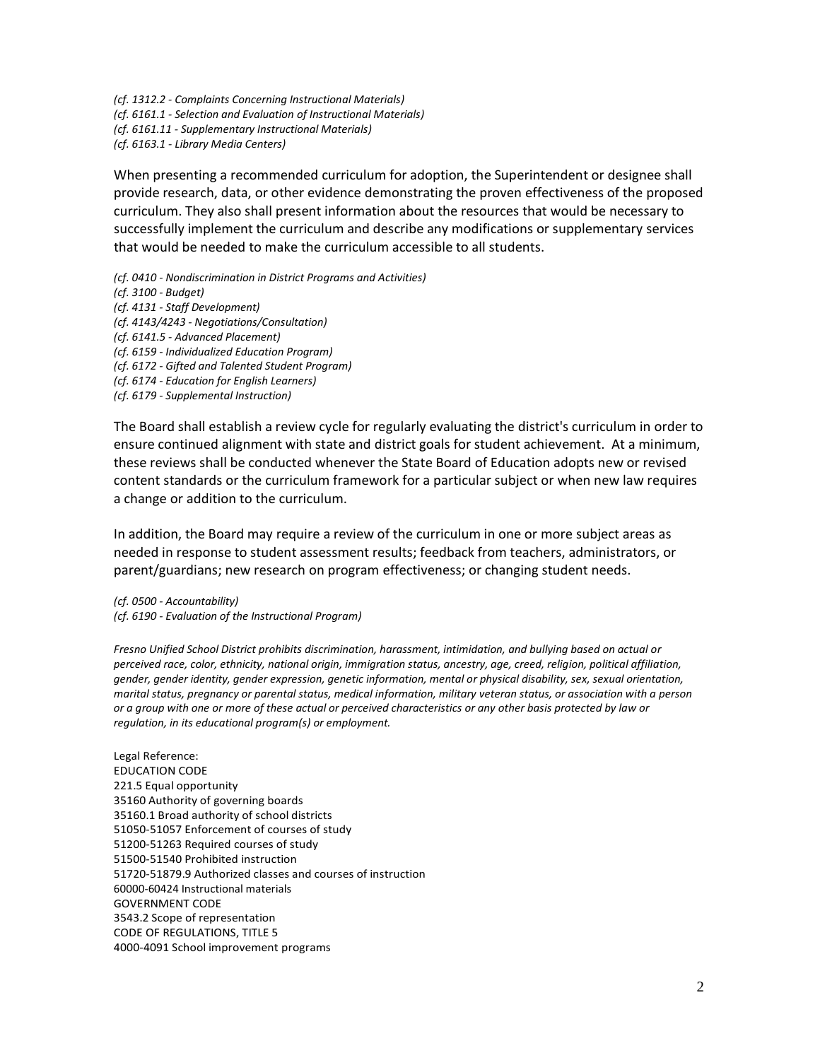*(cf. 1312.2 - Complaints Concerning Instructional Materials) (cf. 6161.1 - Selection and Evaluation of Instructional Materials) (cf. 6161.11 - Supplementary Instructional Materials) (cf. 6163.1 - Library Media Centers)*

When presenting a recommended curriculum for adoption, the Superintendent or designee shall provide research, data, or other evidence demonstrating the proven effectiveness of the proposed curriculum. They also shall present information about the resources that would be necessary to successfully implement the curriculum and describe any modifications or supplementary services that would be needed to make the curriculum accessible to all students.

*(cf. 0410 - Nondiscrimination in District Programs and Activities)*

*(cf. 3100 - Budget)*

*(cf. 4131 - Staff Development)*

*(cf. 4143/4243 - Negotiations/Consultation)*

*(cf. 6141.5 - Advanced Placement)*

*(cf. 6159 - Individualized Education Program)*

*(cf. 6172 - Gifted and Talented Student Program)*

*(cf. 6174 - Education for English Learners)*

*(cf. 6179 - Supplemental Instruction)*

The Board shall establish a review cycle for regularly evaluating the district's curriculum in order to ensure continued alignment with state and district goals for student achievement. At a minimum, these reviews shall be conducted whenever the State Board of Education adopts new or revised content standards or the curriculum framework for a particular subject or when new law requires a change or addition to the curriculum.

In addition, the Board may require a review of the curriculum in one or more subject areas as needed in response to student assessment results; feedback from teachers, administrators, or parent/guardians; new research on program effectiveness; or changing student needs.

*(cf. 0500 - Accountability) (cf. 6190 - Evaluation of the Instructional Program)*

*Fresno Unified School District prohibits discrimination, harassment, intimidation, and bullying based on actual or perceived race, color, ethnicity, national origin, immigration status, ancestry, age, creed, religion, political affiliation, gender, gender identity, gender expression, genetic information, mental or physical disability, sex, sexual orientation, marital status, pregnancy or parental status, medical information, military veteran status, or association with a person or a group with one or more of these actual or perceived characteristics or any other basis protected by law or regulation, in its educational program(s) or employment.*

Legal Reference: EDUCATION CODE 221.5 Equal opportunity 35160 Authority of governing boards 35160.1 Broad authority of school districts 51050-51057 Enforcement of courses of study 51200-51263 Required courses of study 51500-51540 Prohibited instruction 51720-51879.9 Authorized classes and courses of instruction 60000-60424 Instructional materials GOVERNMENT CODE 3543.2 Scope of representation CODE OF REGULATIONS, TITLE 5 4000-4091 School improvement programs